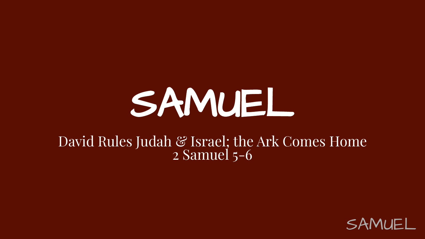# SAMUEL

#### David Rules Judah & Israel; the Ark Comes Home 2 Samuel 5-6

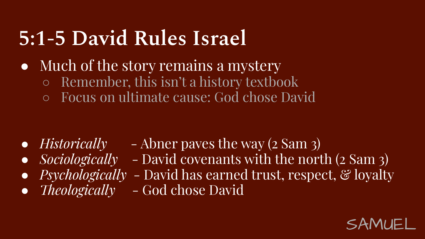# **5:1-5 David Rules Israel**

- Much of the story remains a mystery
	- Remember, this isn't a history textbook
	- Focus on ultimate cause: God chose David

- *● Historically* Abner paves the way (2 Sam 3)
- *● Sociologically*  David covenants with the north (2 Sam 3)
- *Psychologically* David has earned trust, respect, & loyalty
	- *Theologically* God chose David

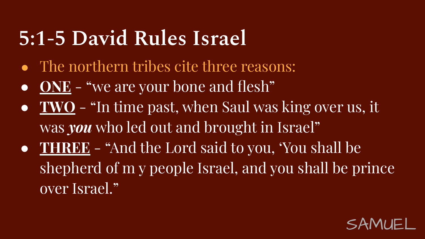### **5:1-5 David Rules Israel**

- *●* The northern tribes cite three reasons:
- **ONE** "we are your bone and flesh"
- **TWO** "In time past, when Saul was king over us, it was *you* who led out and brought in Israel"
- **THREE** "And the Lord said to you, 'You shall be shepherd of m y people Israel, and you shall be prince over Israel."

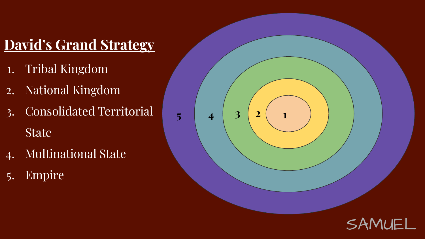### **David's Grand Strategy**

- 1. Tribal Kingdom
- 2. National Kingdom
- 3. Consolidated Territorial State
- 4. Multinational State
- 5. Empire

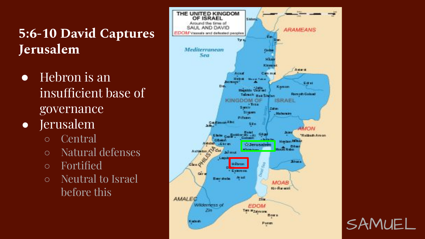#### **5:6-10 David Captures Jerusalem**

- *●* Hebron is an insufficient base of governance
- Jerusalem
	- Central
	- Natural defenses
	- Fortified
	- Neutral to Israel before this

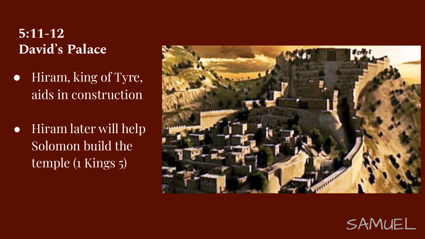#### **5:11-12 David's Palace**

- *●* Hiram, king of Tyre, aids in construction
- Hiram later will help Solomon build the temple (1 Kings 5)



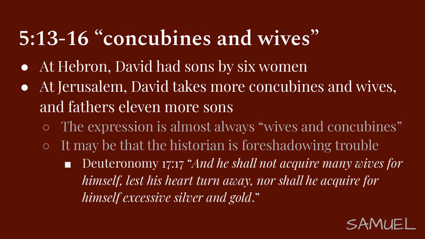# **5:13-16 "concubines and wives"**

- At Hebron, David had sons by six women
- At Jerusalem, David takes more concubines and wives, and fathers eleven more sons
	- The expression is almost always "wives and concubines"
	- $\circ$  It may be that the historian is foreshadowing trouble
		- Deuteronomy 17:17 "*And he shall not acquire many wives for himself, lest his heart turn away, nor shall he acquire for himself excessive silver and gold*."

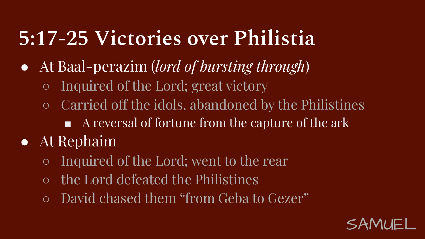### **5:17-25 Victories over Philistia**

- At Baal-perazim (*lord of bursting through*)
	- Inquired of the Lord; great victory
	- Carried off the idols, abandoned by the Philistines
		- A reversal of fortune from the capture of the ark
- At Rephaim
	- Inquired of the Lord; went to the rear
	- the Lord defeated the Philistines
	- David chased them "from Geba to Gezer"

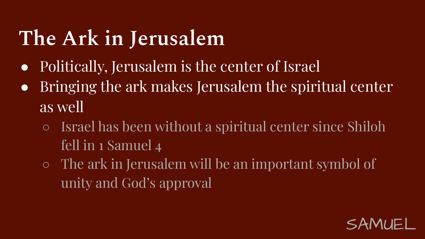# **The Ark in Jerusalem**

- Politically, Jerusalem is the center of Israel
- Bringing the ark makes Jerusalem the spiritual center as well
	- Israel has been without a spiritual center since Shiloh fell in 1 Samuel 4
	- The ark in Jerusalem will be an important symbol of unity and God's approval

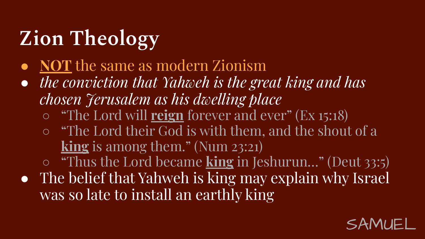# **Zion Theology**

- **● NOT** the same as modern Zionism
- *● the conviction that Yahweh is the great king and has chosen Jerusalem as his dwelling place*
	- "The Lord will **reign** forever and ever" (Ex 15:18)
	- "The Lord their God is with them, and the shout of a **king** is among them." (Num 23:21)
	- "Thus the Lord became **king** in Jeshurun…" (Deut 33:5)
- The belief that Yahweh is king may explain why Israel was so late to install an earthly king

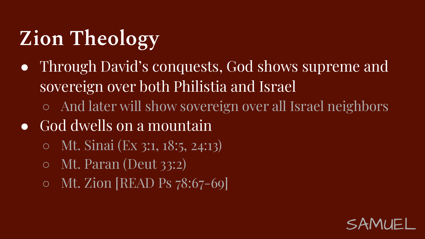# **Zion Theology**

- Through David's conquests, God shows supreme and sovereign over both Philistia and Israel
	- And later will show sovereign over all Israel neighbors
- God dwells on a mountain
	- Mt. Sinai (Ex 3:1, 18:5, 24:13)
	- Mt. Paran (Deut 33:2)
	- Mt. Zion [READ Ps 78:67-69]

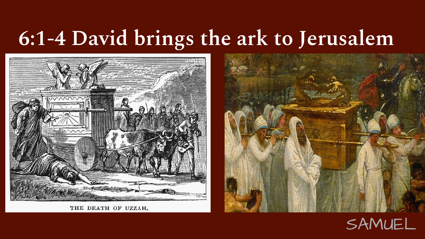# **6:1-4 David brings the ark to Jerusalem**



THE DEATH OF UZZAH.



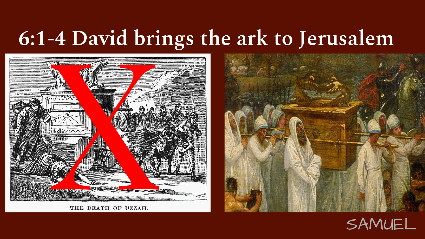# **6:1-4 David brings the ark to Jerusalem**





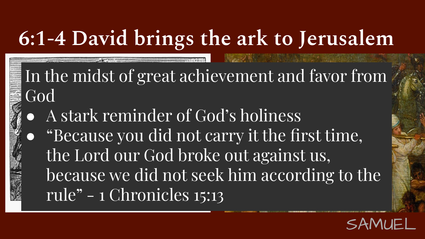# **6:1-4 David brings the ark to Jerusalem**

In the midst of great achievement and favor from God

In the midst of great acknowledge<br>
God<br>
Compared A stark reminder of the Lord our God broken<br>
the Lord our God broken<br>
because we did not s<br>
rule" – 1 Chronicles 1 A stark reminder of God's holiness ● "Because you did not carry it the first time, the Lord our God broke out against us, because we did not seek him according to the rule" - 1 Chronicles 15:13

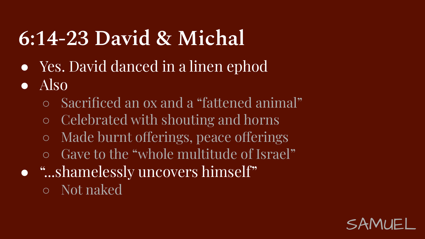# **6:14-23 David & Michal**

- Yes. David danced in a linen ephod
- Also
	- Sacrificed an ox and a "fattened animal"
	- Celebrated with shouting and horns
	- Made burnt offerings, peace offerings
	- Gave to the "whole multitude of Israel"
- "...shamelessly uncovers himself"
	- Not naked